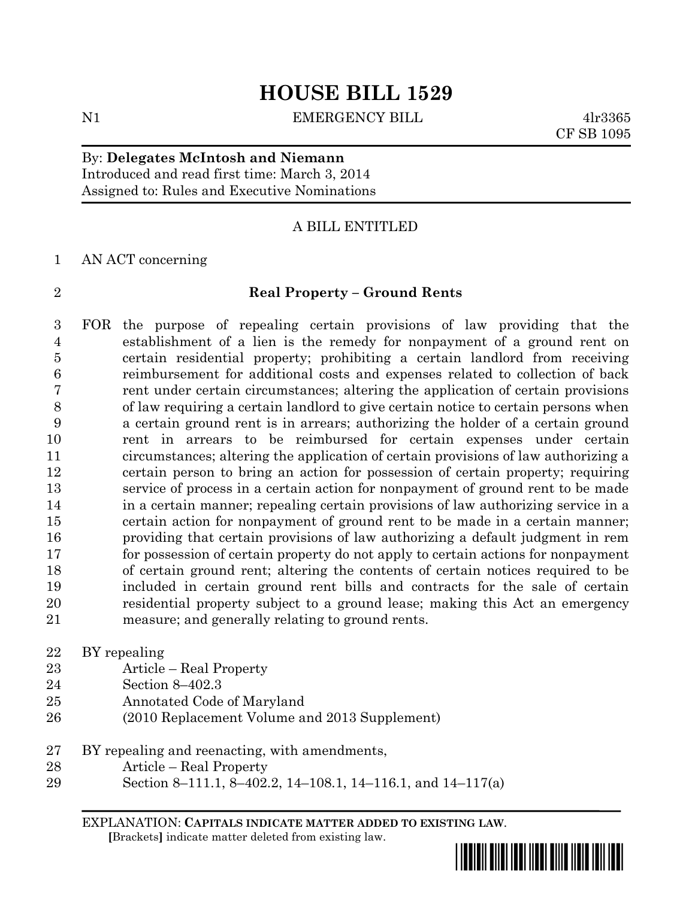N1 BILL EMERGENCY BILL 4lr3365

CF SB 1095

## By: **Delegates McIntosh and Niemann** Introduced and read first time: March 3, 2014 Assigned to: Rules and Executive Nominations

## A BILL ENTITLED

### AN ACT concerning

## **Real Property – Ground Rents**

 FOR the purpose of repealing certain provisions of law providing that the establishment of a lien is the remedy for nonpayment of a ground rent on certain residential property; prohibiting a certain landlord from receiving reimbursement for additional costs and expenses related to collection of back rent under certain circumstances; altering the application of certain provisions of law requiring a certain landlord to give certain notice to certain persons when a certain ground rent is in arrears; authorizing the holder of a certain ground rent in arrears to be reimbursed for certain expenses under certain circumstances; altering the application of certain provisions of law authorizing a certain person to bring an action for possession of certain property; requiring service of process in a certain action for nonpayment of ground rent to be made in a certain manner; repealing certain provisions of law authorizing service in a certain action for nonpayment of ground rent to be made in a certain manner; providing that certain provisions of law authorizing a default judgment in rem for possession of certain property do not apply to certain actions for nonpayment of certain ground rent; altering the contents of certain notices required to be included in certain ground rent bills and contracts for the sale of certain residential property subject to a ground lease; making this Act an emergency measure; and generally relating to ground rents.

- BY repealing
- Article Real Property
- Section 8–402.3
- Annotated Code of Maryland
- (2010 Replacement Volume and 2013 Supplement)
- BY repealing and reenacting, with amendments,
- Article Real Property
- Section 8–111.1, 8–402.2, 14–108.1, 14–116.1, and 14–117(a)

EXPLANATION: **CAPITALS INDICATE MATTER ADDED TO EXISTING LAW**.  **[**Brackets**]** indicate matter deleted from existing law.

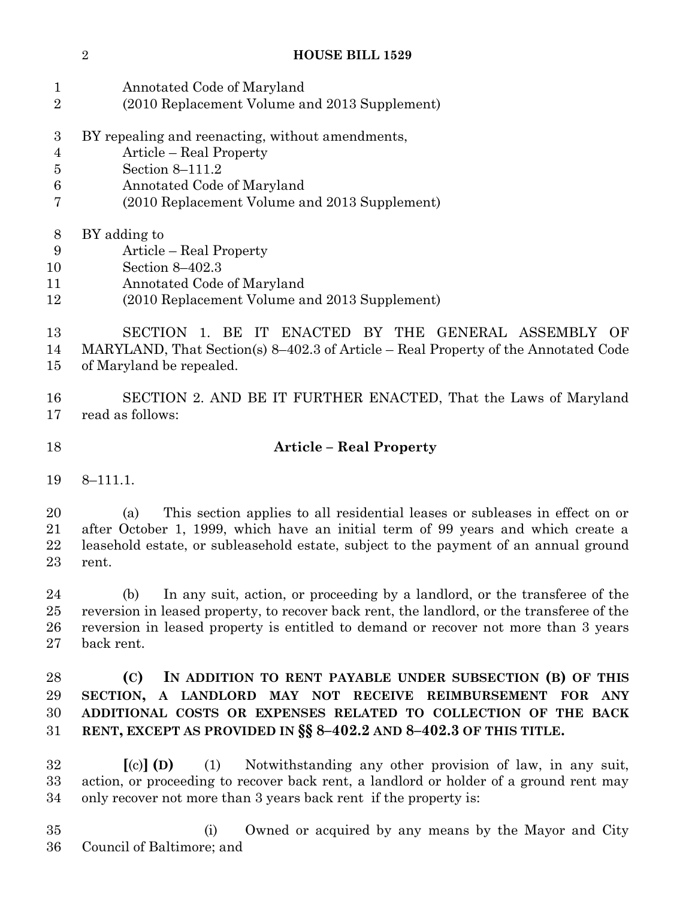- Annotated Code of Maryland
- (2010 Replacement Volume and 2013 Supplement)
- BY repealing and reenacting, without amendments,
- Article Real Property
- Section 8–111.2
- Annotated Code of Maryland
- (2010 Replacement Volume and 2013 Supplement)
- BY adding to
- Article Real Property
- Section 8–402.3
- Annotated Code of Maryland
- (2010 Replacement Volume and 2013 Supplement)

 SECTION 1. BE IT ENACTED BY THE GENERAL ASSEMBLY OF MARYLAND, That Section(s) 8–402.3 of Article – Real Property of the Annotated Code of Maryland be repealed.

 SECTION 2. AND BE IT FURTHER ENACTED, That the Laws of Maryland read as follows:

# **Article – Real Property**

8–111.1.

 (a) This section applies to all residential leases or subleases in effect on or after October 1, 1999, which have an initial term of 99 years and which create a leasehold estate, or subleasehold estate, subject to the payment of an annual ground rent.

 (b) In any suit, action, or proceeding by a landlord, or the transferee of the reversion in leased property, to recover back rent, the landlord, or the transferee of the reversion in leased property is entitled to demand or recover not more than 3 years back rent.

# **(C) IN ADDITION TO RENT PAYABLE UNDER SUBSECTION (B) OF THIS SECTION, A LANDLORD MAY NOT RECEIVE REIMBURSEMENT FOR ANY ADDITIONAL COSTS OR EXPENSES RELATED TO COLLECTION OF THE BACK RENT, EXCEPT AS PROVIDED IN §§ 8–402.2 AND 8–402.3 OF THIS TITLE.**

 **[**(c)**] (D)** (1) Notwithstanding any other provision of law, in any suit, action, or proceeding to recover back rent, a landlord or holder of a ground rent may only recover not more than 3 years back rent if the property is:

 (i) Owned or acquired by any means by the Mayor and City Council of Baltimore; and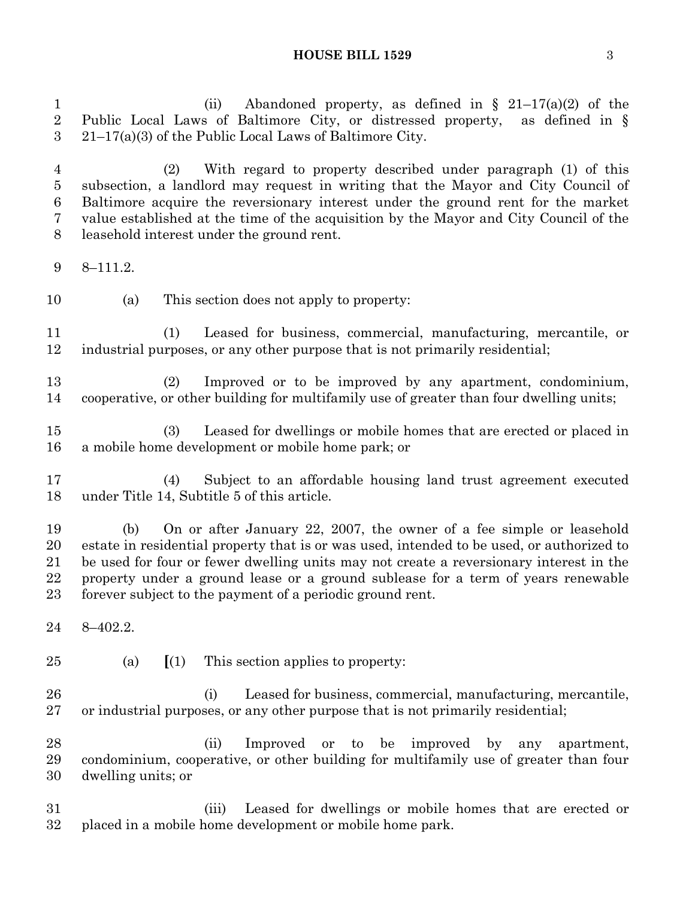1 (ii) Abandoned property, as defined in  $\S$  21–17(a)(2) of the Public Local Laws of Baltimore City, or distressed property, as defined in § 21–17(a)(3) of the Public Local Laws of Baltimore City.

 (2) With regard to property described under paragraph (1) of this subsection, a landlord may request in writing that the Mayor and City Council of Baltimore acquire the reversionary interest under the ground rent for the market value established at the time of the acquisition by the Mayor and City Council of the leasehold interest under the ground rent.

- 8–111.2.
- (a) This section does not apply to property:

 (1) Leased for business, commercial, manufacturing, mercantile, or industrial purposes, or any other purpose that is not primarily residential;

 (2) Improved or to be improved by any apartment, condominium, cooperative, or other building for multifamily use of greater than four dwelling units;

 (3) Leased for dwellings or mobile homes that are erected or placed in a mobile home development or mobile home park; or

 (4) Subject to an affordable housing land trust agreement executed under Title 14, Subtitle 5 of this article.

 (b) On or after January 22, 2007, the owner of a fee simple or leasehold estate in residential property that is or was used, intended to be used, or authorized to be used for four or fewer dwelling units may not create a reversionary interest in the property under a ground lease or a ground sublease for a term of years renewable forever subject to the payment of a periodic ground rent.

- 8–402.2.
- 

(a) **[**(1) This section applies to property:

 (i) Leased for business, commercial, manufacturing, mercantile, or industrial purposes, or any other purpose that is not primarily residential;

 (ii) Improved or to be improved by any apartment, condominium, cooperative, or other building for multifamily use of greater than four dwelling units; or

 (iii) Leased for dwellings or mobile homes that are erected or placed in a mobile home development or mobile home park.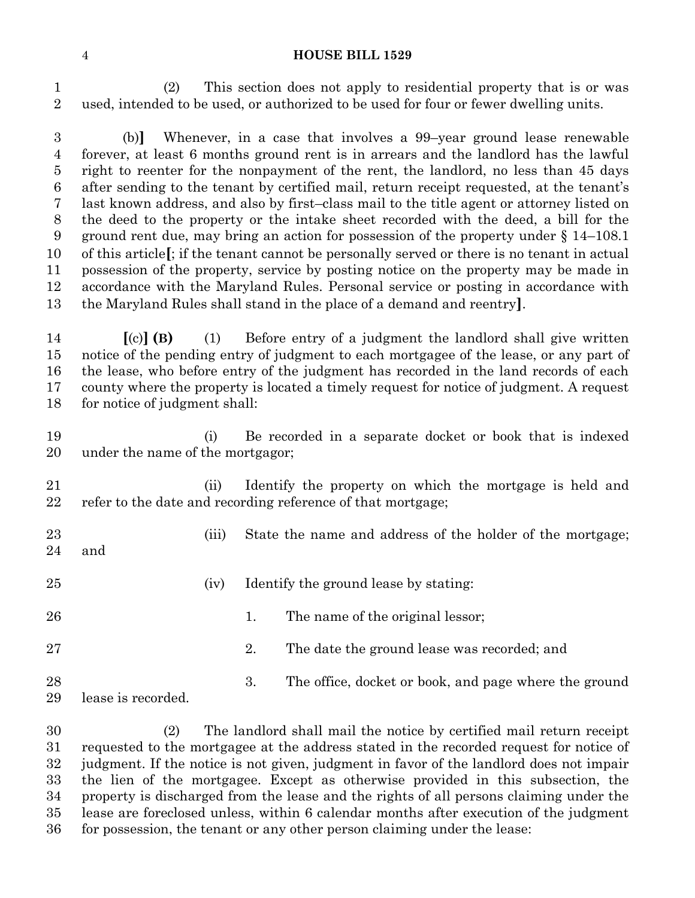(2) This section does not apply to residential property that is or was used, intended to be used, or authorized to be used for four or fewer dwelling units.

 (b)**]** Whenever, in a case that involves a 99–year ground lease renewable forever, at least 6 months ground rent is in arrears and the landlord has the lawful right to reenter for the nonpayment of the rent, the landlord, no less than 45 days after sending to the tenant by certified mail, return receipt requested, at the tenant's last known address, and also by first–class mail to the title agent or attorney listed on the deed to the property or the intake sheet recorded with the deed, a bill for the ground rent due, may bring an action for possession of the property under § 14–108.1 of this article**[**; if the tenant cannot be personally served or there is no tenant in actual possession of the property, service by posting notice on the property may be made in accordance with the Maryland Rules. Personal service or posting in accordance with the Maryland Rules shall stand in the place of a demand and reentry**]**.

 **[**(c)**] (B)** (1) Before entry of a judgment the landlord shall give written notice of the pending entry of judgment to each mortgagee of the lease, or any part of the lease, who before entry of the judgment has recorded in the land records of each county where the property is located a timely request for notice of judgment. A request for notice of judgment shall:

 (i) Be recorded in a separate docket or book that is indexed under the name of the mortgagor;

 (ii) Identify the property on which the mortgage is held and refer to the date and recording reference of that mortgage;

- 23 (iii) State the name and address of the holder of the mortgage; and
- 
- 25 (iv) Identify the ground lease by stating:
- 26 1. The name of the original lessor;
- 2. The date the ground lease was recorded; and
- 3. The office, docket or book, and page where the ground lease is recorded.

 (2) The landlord shall mail the notice by certified mail return receipt requested to the mortgagee at the address stated in the recorded request for notice of judgment. If the notice is not given, judgment in favor of the landlord does not impair the lien of the mortgagee. Except as otherwise provided in this subsection, the property is discharged from the lease and the rights of all persons claiming under the lease are foreclosed unless, within 6 calendar months after execution of the judgment for possession, the tenant or any other person claiming under the lease: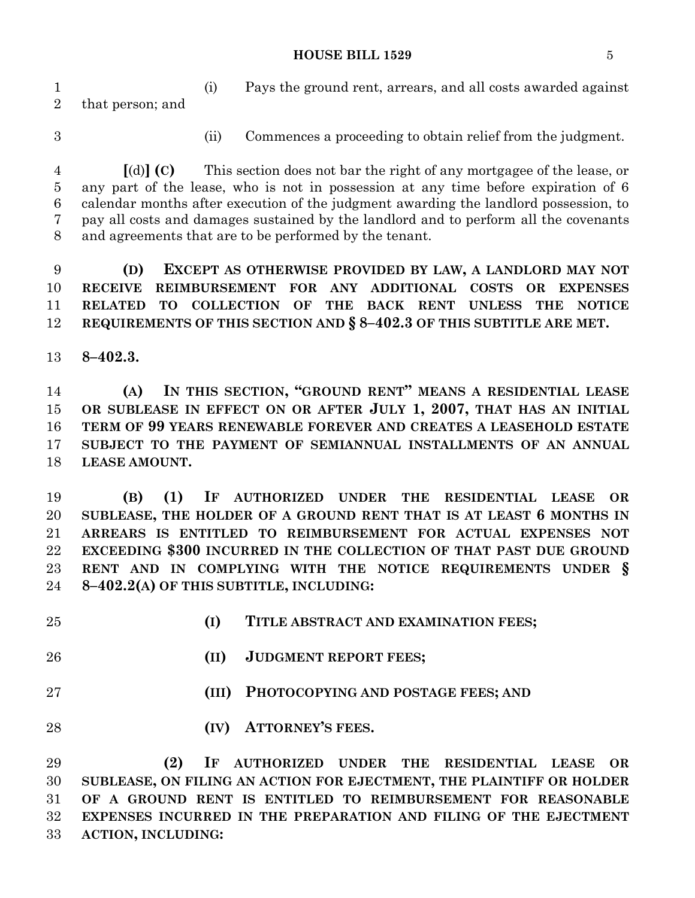(i) Pays the ground rent, arrears, and all costs awarded against that person; and

- 
- (ii) Commences a proceeding to obtain relief from the judgment.

 **[**(d)**] (C)** This section does not bar the right of any mortgagee of the lease, or any part of the lease, who is not in possession at any time before expiration of 6 calendar months after execution of the judgment awarding the landlord possession, to pay all costs and damages sustained by the landlord and to perform all the covenants and agreements that are to be performed by the tenant.

 **(D) EXCEPT AS OTHERWISE PROVIDED BY LAW, A LANDLORD MAY NOT RECEIVE REIMBURSEMENT FOR ANY ADDITIONAL COSTS OR EXPENSES RELATED TO COLLECTION OF THE BACK RENT UNLESS THE NOTICE REQUIREMENTS OF THIS SECTION AND § 8–402.3 OF THIS SUBTITLE ARE MET.**

**8–402.3.**

 **(A) IN THIS SECTION, "GROUND RENT" MEANS A RESIDENTIAL LEASE OR SUBLEASE IN EFFECT ON OR AFTER JULY 1, 2007, THAT HAS AN INITIAL TERM OF 99 YEARS RENEWABLE FOREVER AND CREATES A LEASEHOLD ESTATE SUBJECT TO THE PAYMENT OF SEMIANNUAL INSTALLMENTS OF AN ANNUAL LEASE AMOUNT.**

 **(B) (1) IF AUTHORIZED UNDER THE RESIDENTIAL LEASE OR SUBLEASE, THE HOLDER OF A GROUND RENT THAT IS AT LEAST 6 MONTHS IN ARREARS IS ENTITLED TO REIMBURSEMENT FOR ACTUAL EXPENSES NOT EXCEEDING \$300 INCURRED IN THE COLLECTION OF THAT PAST DUE GROUND RENT AND IN COMPLYING WITH THE NOTICE REQUIREMENTS UNDER § 8–402.2(A) OF THIS SUBTITLE, INCLUDING:**

| 25 | TITLE ABSTRACT AND EXAMINATION FEES;<br>(I)                          |
|----|----------------------------------------------------------------------|
| 26 | <b>JUDGMENT REPORT FEES;</b><br>(II)                                 |
| 27 | PHOTOCOPYING AND POSTAGE FEES; AND<br>(III)                          |
| 28 | <b>ATTORNEY'S FEES.</b><br>(IV)                                      |
| 29 | (2)<br>IF AUTHORIZED UNDER THE RESIDENTIAL LEASE OR                  |
| 30 | SUBLEASE, ON FILING AN ACTION FOR EJECTMENT, THE PLAINTIFF OR HOLDER |

 **OF A GROUND RENT IS ENTITLED TO REIMBURSEMENT FOR REASONABLE EXPENSES INCURRED IN THE PREPARATION AND FILING OF THE EJECTMENT ACTION, INCLUDING:**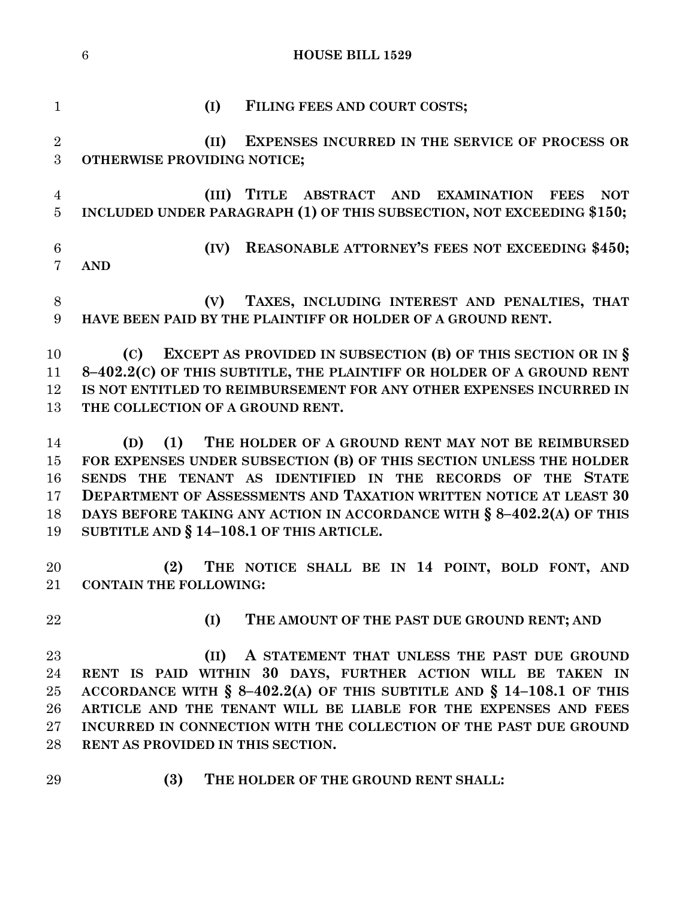|                                   | $6\phantom{1}6$<br><b>HOUSE BILL 1529</b>                                                                                           |
|-----------------------------------|-------------------------------------------------------------------------------------------------------------------------------------|
|                                   |                                                                                                                                     |
| $\mathbf{1}$                      | (I)<br>FILING FEES AND COURT COSTS;                                                                                                 |
| $\overline{2}$<br>3               | (II)<br><b>EXPENSES INCURRED IN THE SERVICE OF PROCESS OR</b><br>OTHERWISE PROVIDING NOTICE;                                        |
| $\overline{4}$<br>$\overline{5}$  | (III)<br>TITLE ABSTRACT AND EXAMINATION FEES<br><b>NOT</b><br>INCLUDED UNDER PARAGRAPH (1) OF THIS SUBSECTION, NOT EXCEEDING \$150; |
| $6\phantom{.}6$<br>$\overline{7}$ | <b>REASONABLE ATTORNEY'S FEES NOT EXCEEDING \$450;</b><br>(IV)<br><b>AND</b>                                                        |
| 8<br>$9\phantom{.}$               | TAXES, INCLUDING INTEREST AND PENALTIES, THAT<br>(V)<br>HAVE BEEN PAID BY THE PLAINTIFF OR HOLDER OF A GROUND RENT.                 |
| 10                                | EXCEPT AS PROVIDED IN SUBSECTION (B) OF THIS SECTION OR IN $\S$<br>(C)                                                              |
| 11                                | 8-402.2(C) OF THIS SUBTITLE, THE PLAINTIFF OR HOLDER OF A GROUND RENT                                                               |
| 12                                | IS NOT ENTITLED TO REIMBURSEMENT FOR ANY OTHER EXPENSES INCURRED IN                                                                 |
| 13                                | THE COLLECTION OF A GROUND RENT.                                                                                                    |
| 14                                | THE HOLDER OF A GROUND RENT MAY NOT BE REIMBURSED<br>(1)<br>(D)                                                                     |
| 15                                | FOR EXPENSES UNDER SUBSECTION (B) OF THIS SECTION UNLESS THE HOLDER                                                                 |
| 16                                | SENDS THE TENANT AS IDENTIFIED IN THE RECORDS OF THE<br><b>STATE</b>                                                                |
| 17                                | <b>DEPARTMENT OF ASSESSMENTS AND TAXATION WRITTEN NOTICE AT LEAST 30</b>                                                            |
| 18                                | DAYS BEFORE TAKING ANY ACTION IN ACCORDANCE WITH § 8-402.2(A) OF THIS                                                               |
| 19                                | SUBTITLE AND $\S 14-108.1$ OF THIS ARTICLE.                                                                                         |
|                                   |                                                                                                                                     |
| 20                                | (2) THE NOTICE SHALL BE IN 14 POINT, BOLD FONT, AND                                                                                 |
| $21\,$                            | <b>CONTAIN THE FOLLOWING:</b>                                                                                                       |
| 22                                | (I)<br>THE AMOUNT OF THE PAST DUE GROUND RENT; AND                                                                                  |
| 23                                | A STATEMENT THAT UNLESS THE PAST DUE GROUND<br>(II)                                                                                 |
| 24                                | RENT IS PAID WITHIN 30 DAYS, FURTHER ACTION WILL BE TAKEN IN                                                                        |
| 25                                | ACCORDANCE WITH $\S$ 8-402.2(A) OF THIS SUBTITLE AND $\S$ 14-108.1 OF THIS                                                          |
| 26                                | ARTICLE AND THE TENANT WILL BE LIABLE FOR THE EXPENSES AND FEES                                                                     |
| 27                                | INCURRED IN CONNECTION WITH THE COLLECTION OF THE PAST DUE GROUND                                                                   |
| 28                                | RENT AS PROVIDED IN THIS SECTION.                                                                                                   |
| 29                                | (3)<br>THE HOLDER OF THE GROUND RENT SHALL:                                                                                         |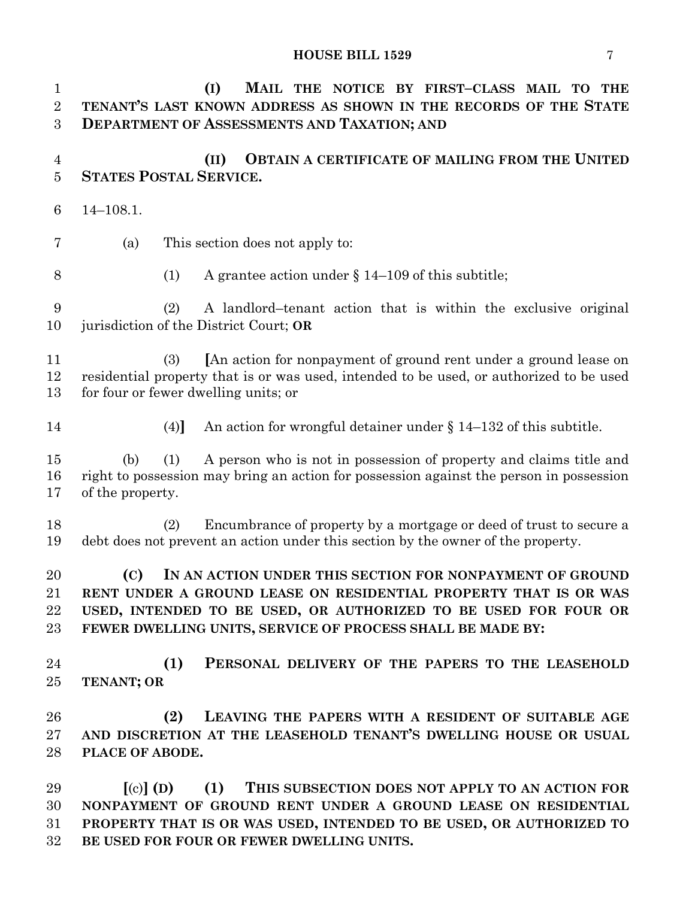| $\mathbf{1}$<br>$\overline{2}$<br>3 | (I)<br>MAIL THE NOTICE BY FIRST-CLASS MAIL TO THE<br>TENANT'S LAST KNOWN ADDRESS AS SHOWN IN THE RECORDS OF THE STATE<br><b>DEPARTMENT OF ASSESSMENTS AND TAXATION; AND</b>                                                                                              |
|-------------------------------------|--------------------------------------------------------------------------------------------------------------------------------------------------------------------------------------------------------------------------------------------------------------------------|
| $\overline{4}$<br>$\overline{5}$    | <b>OBTAIN A CERTIFICATE OF MAILING FROM THE UNITED</b><br>(II)<br><b>STATES POSTAL SERVICE.</b>                                                                                                                                                                          |
| $6\phantom{1}6$                     | $14 - 108.1.$                                                                                                                                                                                                                                                            |
| 7                                   | This section does not apply to:<br>(a)                                                                                                                                                                                                                                   |
| 8                                   | A grantee action under $\S$ 14-109 of this subtitle;<br>(1)                                                                                                                                                                                                              |
| 9<br>10                             | A landlord-tenant action that is within the exclusive original<br>(2)<br>jurisdiction of the District Court; OR                                                                                                                                                          |
| 11<br>12<br>13                      | [An action for nonpayment of ground rent under a ground lease on<br>(3)<br>residential property that is or was used, intended to be used, or authorized to be used<br>for four or fewer dwelling units; or                                                               |
| 14                                  | An action for wrongful detainer under $\S$ 14–132 of this subtitle.<br>(4)                                                                                                                                                                                               |
| 15<br>16<br>17                      | A person who is not in possession of property and claims title and<br>(1)<br>(b)<br>right to possession may bring an action for possession against the person in possession<br>of the property.                                                                          |
| 18<br>19                            | Encumbrance of property by a mortgage or deed of trust to secure a<br>(2)<br>debt does not prevent an action under this section by the owner of the property.                                                                                                            |
| 20<br>21<br>22<br>23                | (C)<br>IN AN ACTION UNDER THIS SECTION FOR NONPAYMENT OF GROUND<br>RENT UNDER A GROUND LEASE ON RESIDENTIAL PROPERTY THAT IS OR WAS<br>USED, INTENDED TO BE USED, OR AUTHORIZED TO BE USED FOR FOUR OR<br>FEWER DWELLING UNITS, SERVICE OF PROCESS SHALL BE MADE BY:     |
| 24<br>25                            | (1)<br>PERSONAL DELIVERY OF THE PAPERS TO THE LEASEHOLD<br>TENANT; OR                                                                                                                                                                                                    |
| 26<br>27<br>28                      | (2)<br>LEAVING THE PAPERS WITH A RESIDENT OF SUITABLE AGE<br>AND DISCRETION AT THE LEASEHOLD TENANT'S DWELLING HOUSE OR USUAL<br>PLACE OF ABODE.                                                                                                                         |
| 29<br>30<br>31<br>32                | $\lceil$ (c) $\rceil$ (D)<br>(1)<br>THIS SUBSECTION DOES NOT APPLY TO AN ACTION FOR<br>NONPAYMENT OF GROUND RENT UNDER A GROUND LEASE ON RESIDENTIAL<br>PROPERTY THAT IS OR WAS USED, INTENDED TO BE USED, OR AUTHORIZED TO<br>BE USED FOR FOUR OR FEWER DWELLING UNITS. |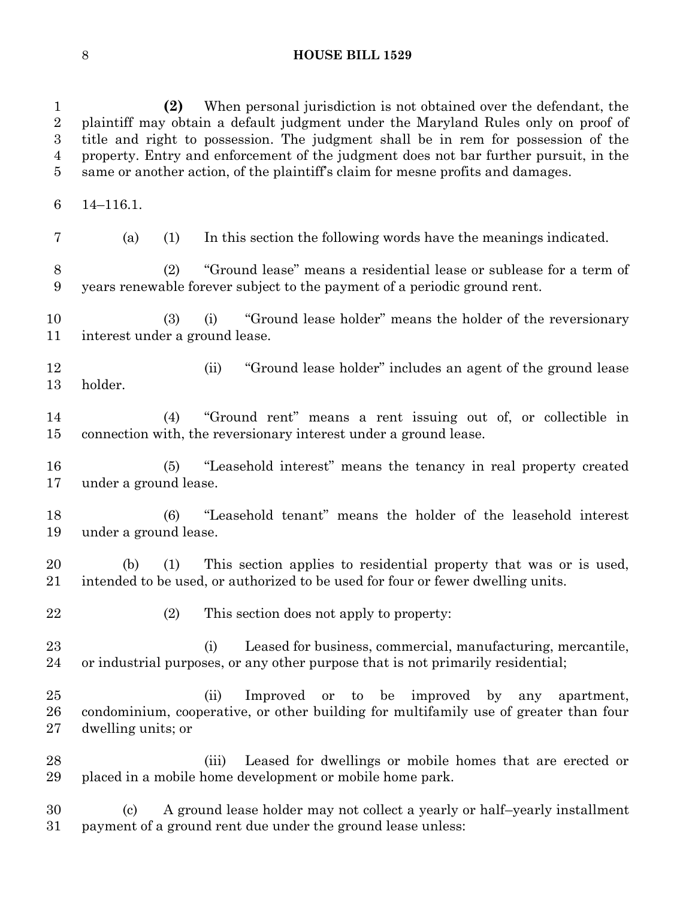| $\mathbf{1}$<br>$\sqrt{2}$<br>$\boldsymbol{3}$<br>$\overline{4}$<br>$\overline{5}$ | When personal jurisdiction is not obtained over the defendant, the<br>(2)<br>plaintiff may obtain a default judgment under the Maryland Rules only on proof of<br>title and right to possession. The judgment shall be in rem for possession of the<br>property. Entry and enforcement of the judgment does not bar further pursuit, in the<br>same or another action, of the plaintiff's claim for mesne profits and damages. |
|------------------------------------------------------------------------------------|--------------------------------------------------------------------------------------------------------------------------------------------------------------------------------------------------------------------------------------------------------------------------------------------------------------------------------------------------------------------------------------------------------------------------------|
| $6\phantom{.}6$                                                                    | $14 - 116.1.$                                                                                                                                                                                                                                                                                                                                                                                                                  |
| $\overline{7}$                                                                     | (a)<br>In this section the following words have the meanings indicated.<br>(1)                                                                                                                                                                                                                                                                                                                                                 |
| $8\,$<br>$9\phantom{.0}$                                                           | "Ground lease" means a residential lease or sublease for a term of<br>(2)<br>years renewable forever subject to the payment of a periodic ground rent.                                                                                                                                                                                                                                                                         |
| 10<br>11                                                                           | "Ground lease holder" means the holder of the reversionary<br>(3)<br>(i)<br>interest under a ground lease.                                                                                                                                                                                                                                                                                                                     |
| 12<br>13                                                                           | "Ground lease holder" includes an agent of the ground lease<br>(ii)<br>holder.                                                                                                                                                                                                                                                                                                                                                 |
| 14<br>15                                                                           | "Ground rent" means a rent issuing out of, or collectible in<br>(4)<br>connection with, the reversionary interest under a ground lease.                                                                                                                                                                                                                                                                                        |
| 16<br>17                                                                           | "Leasehold interest" means the tenancy in real property created<br>(5)<br>under a ground lease.                                                                                                                                                                                                                                                                                                                                |
| 18<br>19                                                                           | "Leasehold tenant" means the holder of the leasehold interest<br>(6)<br>under a ground lease.                                                                                                                                                                                                                                                                                                                                  |
| 20<br>21                                                                           | This section applies to residential property that was or is used,<br>(b)<br>(1)<br>intended to be used, or authorized to be used for four or fewer dwelling units.                                                                                                                                                                                                                                                             |
| 22                                                                                 | (2)<br>This section does not apply to property:                                                                                                                                                                                                                                                                                                                                                                                |
| 23<br>24                                                                           | Leased for business, commercial, manufacturing, mercantile,<br>(i)<br>or industrial purposes, or any other purpose that is not primarily residential;                                                                                                                                                                                                                                                                          |
| 25<br>26<br>27                                                                     | (ii)<br>Improved or to be improved<br>$_{\rm by}$<br>any<br>apartment,<br>condominium, cooperative, or other building for multifamily use of greater than four<br>dwelling units; or                                                                                                                                                                                                                                           |
| 28<br>29                                                                           | Leased for dwellings or mobile homes that are erected or<br>(iii)<br>placed in a mobile home development or mobile home park.                                                                                                                                                                                                                                                                                                  |
| 30<br>31                                                                           | A ground lease holder may not collect a yearly or half-yearly installment<br>$\left( \mathrm{c}\right)$<br>payment of a ground rent due under the ground lease unless:                                                                                                                                                                                                                                                         |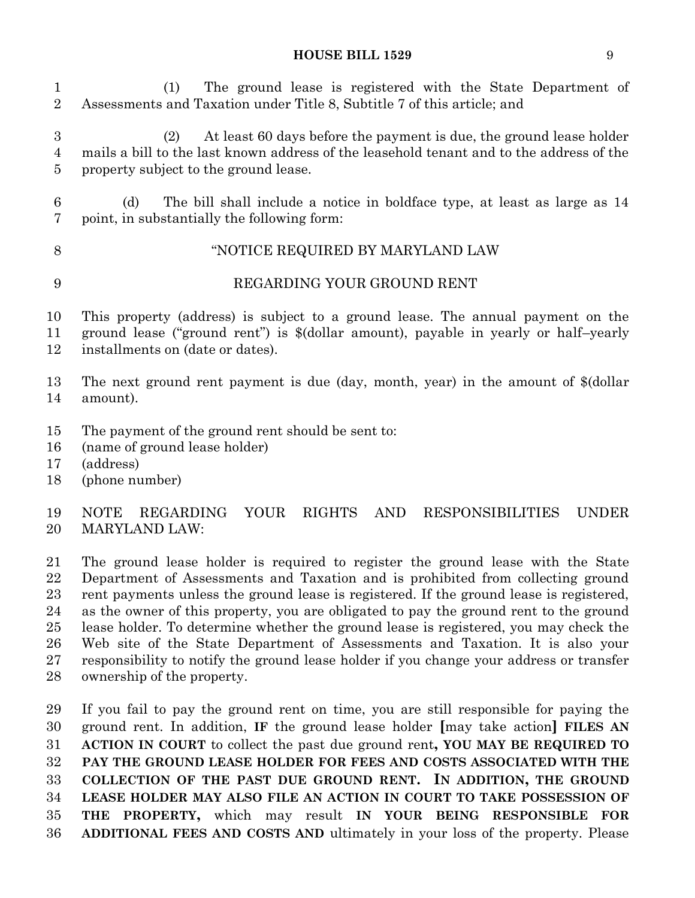(1) The ground lease is registered with the State Department of Assessments and Taxation under Title 8, Subtitle 7 of this article; and

 (2) At least 60 days before the payment is due, the ground lease holder mails a bill to the last known address of the leasehold tenant and to the address of the property subject to the ground lease.

 (d) The bill shall include a notice in boldface type, at least as large as 14 point, in substantially the following form:

## "NOTICE REQUIRED BY MARYLAND LAW

## REGARDING YOUR GROUND RENT

This property (address) is subject to a ground lease. The annual payment on the

 ground lease ("ground rent") is \$(dollar amount), payable in yearly or half–yearly installments on (date or dates).

 The next ground rent payment is due (day, month, year) in the amount of \$(dollar amount).

- The payment of the ground rent should be sent to:
- (name of ground lease holder)
- (address)
- (phone number)

## NOTE REGARDING YOUR RIGHTS AND RESPONSIBILITIES UNDER MARYLAND LAW:

 The ground lease holder is required to register the ground lease with the State Department of Assessments and Taxation and is prohibited from collecting ground rent payments unless the ground lease is registered. If the ground lease is registered, as the owner of this property, you are obligated to pay the ground rent to the ground lease holder. To determine whether the ground lease is registered, you may check the Web site of the State Department of Assessments and Taxation. It is also your responsibility to notify the ground lease holder if you change your address or transfer ownership of the property.

 If you fail to pay the ground rent on time, you are still responsible for paying the ground rent. In addition, **IF** the ground lease holder **[**may take action**] FILES AN ACTION IN COURT** to collect the past due ground rent**, YOU MAY BE REQUIRED TO PAY THE GROUND LEASE HOLDER FOR FEES AND COSTS ASSOCIATED WITH THE COLLECTION OF THE PAST DUE GROUND RENT. IN ADDITION, THE GROUND LEASE HOLDER MAY ALSO FILE AN ACTION IN COURT TO TAKE POSSESSION OF THE PROPERTY,** which may result **IN YOUR BEING RESPONSIBLE FOR ADDITIONAL FEES AND COSTS AND** ultimately in your loss of the property. Please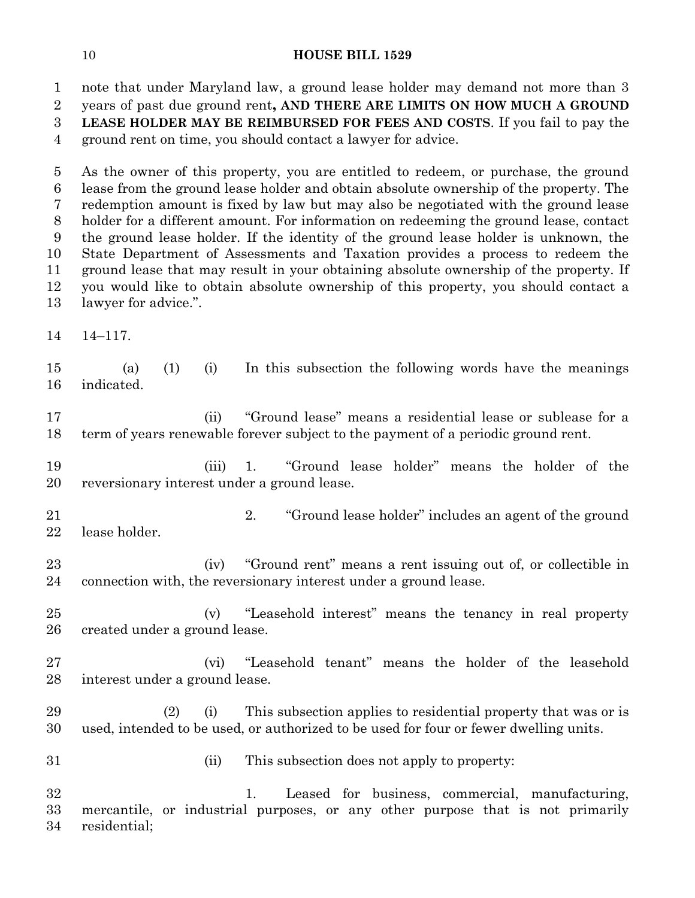note that under Maryland law, a ground lease holder may demand not more than 3 years of past due ground rent**, AND THERE ARE LIMITS ON HOW MUCH A GROUND LEASE HOLDER MAY BE REIMBURSED FOR FEES AND COSTS**. If you fail to pay the ground rent on time, you should contact a lawyer for advice.

 As the owner of this property, you are entitled to redeem, or purchase, the ground lease from the ground lease holder and obtain absolute ownership of the property. The redemption amount is fixed by law but may also be negotiated with the ground lease holder for a different amount. For information on redeeming the ground lease, contact the ground lease holder. If the identity of the ground lease holder is unknown, the State Department of Assessments and Taxation provides a process to redeem the ground lease that may result in your obtaining absolute ownership of the property. If you would like to obtain absolute ownership of this property, you should contact a lawyer for advice.".

14–117.

 (a) (1) (i) In this subsection the following words have the meanings indicated.

 (ii) "Ground lease" means a residential lease or sublease for a term of years renewable forever subject to the payment of a periodic ground rent.

 (iii) 1. "Ground lease holder" means the holder of the reversionary interest under a ground lease.

 2. "Ground lease holder" includes an agent of the ground lease holder.

 (iv) "Ground rent" means a rent issuing out of, or collectible in connection with, the reversionary interest under a ground lease.

 (v) "Leasehold interest" means the tenancy in real property created under a ground lease.

 (vi) "Leasehold tenant" means the holder of the leasehold interest under a ground lease.

 (2) (i) This subsection applies to residential property that was or is used, intended to be used, or authorized to be used for four or fewer dwelling units.

(ii) This subsection does not apply to property:

 1. Leased for business, commercial, manufacturing, mercantile, or industrial purposes, or any other purpose that is not primarily residential;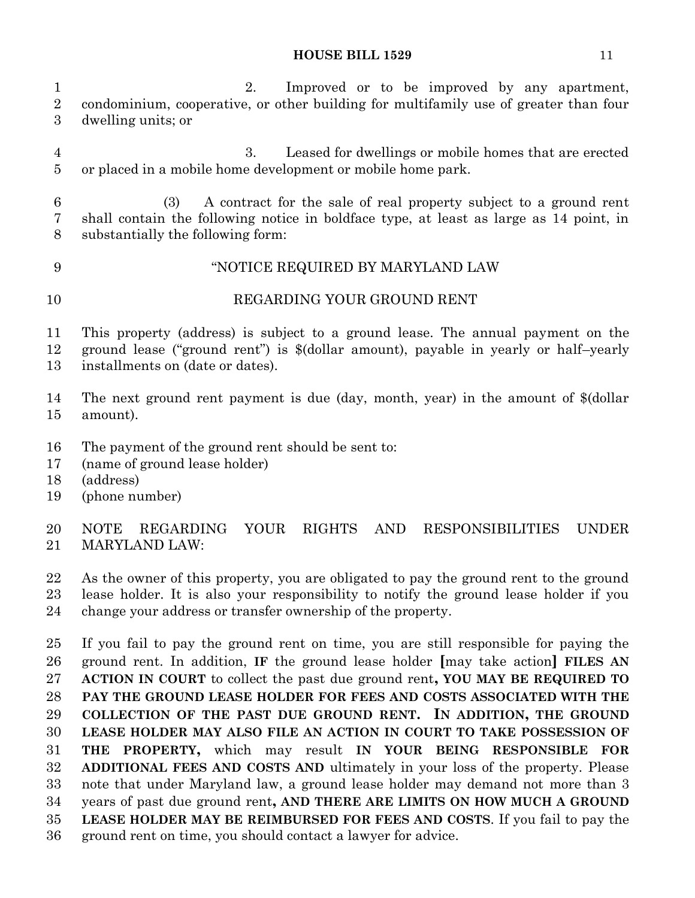2. Improved or to be improved by any apartment, condominium, cooperative, or other building for multifamily use of greater than four dwelling units; or

 3. Leased for dwellings or mobile homes that are erected or placed in a mobile home development or mobile home park.

 (3) A contract for the sale of real property subject to a ground rent shall contain the following notice in boldface type, at least as large as 14 point, in substantially the following form:

# "NOTICE REQUIRED BY MARYLAND LAW REGARDING YOUR GROUND RENT

 This property (address) is subject to a ground lease. The annual payment on the ground lease ("ground rent") is \$(dollar amount), payable in yearly or half–yearly installments on (date or dates).

 The next ground rent payment is due (day, month, year) in the amount of \$(dollar amount).

- The payment of the ground rent should be sent to:
- (name of ground lease holder)
- (address)
- (phone number)

 NOTE REGARDING YOUR RIGHTS AND RESPONSIBILITIES UNDER MARYLAND LAW:

As the owner of this property, you are obligated to pay the ground rent to the ground

 lease holder. It is also your responsibility to notify the ground lease holder if you change your address or transfer ownership of the property.

 If you fail to pay the ground rent on time, you are still responsible for paying the ground rent. In addition, **IF** the ground lease holder **[**may take action**] FILES AN ACTION IN COURT** to collect the past due ground rent**, YOU MAY BE REQUIRED TO PAY THE GROUND LEASE HOLDER FOR FEES AND COSTS ASSOCIATED WITH THE COLLECTION OF THE PAST DUE GROUND RENT. IN ADDITION, THE GROUND LEASE HOLDER MAY ALSO FILE AN ACTION IN COURT TO TAKE POSSESSION OF THE PROPERTY,** which may result **IN YOUR BEING RESPONSIBLE FOR ADDITIONAL FEES AND COSTS AND** ultimately in your loss of the property. Please note that under Maryland law, a ground lease holder may demand not more than 3 years of past due ground rent**, AND THERE ARE LIMITS ON HOW MUCH A GROUND LEASE HOLDER MAY BE REIMBURSED FOR FEES AND COSTS**. If you fail to pay the ground rent on time, you should contact a lawyer for advice.